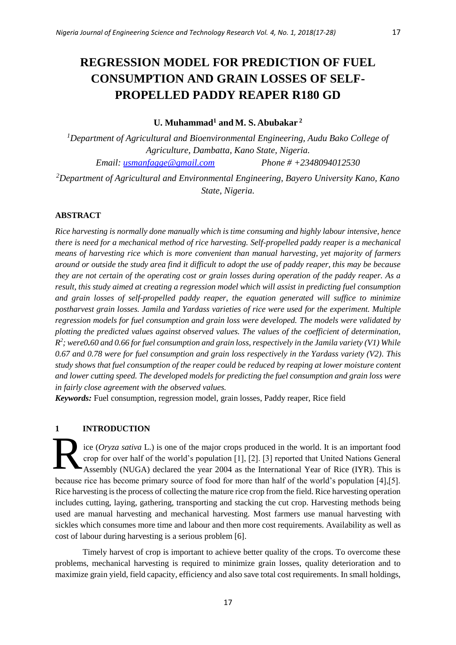# **REGRESSION MODEL FOR PREDICTION OF FUEL CONSUMPTION AND GRAIN LOSSES OF SELF-PROPELLED PADDY REAPER R180 GD**

# **U. Muhammad<sup>1</sup> and M. S. Abubakar <sup>2</sup>**

*<sup>1</sup>Department of Agricultural and Bioenvironmental Engineering, Audu Bako College of Agriculture, Dambatta, Kano State, Nigeria. Email: [usmanfagge@gmail.com](mailto:usmanfagge@gmail.com) Phone # +2348094012530*

*<sup>2</sup>Department of Agricultural and Environmental Engineering, Bayero University Kano, Kano State, Nigeria.*

# **ABSTRACT**

*Rice harvesting is normally done manually which is time consuming and highly labour intensive, hence there is need for a mechanical method of rice harvesting. Self-propelled paddy reaper is a mechanical means of harvesting rice which is more convenient than manual harvesting, yet majority of farmers around or outside the study area find it difficult to adopt the use of paddy reaper, this may be because they are not certain of the operating cost or grain losses during operation of the paddy reaper. As a result, this study aimed at creating a regression model which will assist in predicting fuel consumption and grain losses of self-propelled paddy reaper, the equation generated will suffice to minimize postharvest grain losses. Jamila and Yardass varieties of rice were used for the experiment. Multiple regression models for fuel consumption and grain loss were developed. The models were validated by plotting the predicted values against observed values. The values of the coefficient of determination, R 2 ; were0.60 and 0.66 for fuel consumption and grain loss, respectively in the Jamila variety (V1) While 0.67 and 0.78 were for fuel consumption and grain loss respectively in the Yardass variety (V2). This study shows that fuel consumption of the reaper could be reduced by reaping at lower moisture content and lower cutting speed. The developed models for predicting the fuel consumption and grain loss were in fairly close agreement with the observed values.*

*Keywords:* Fuel consumption, regression model, grain losses, Paddy reaper, Rice field

# **1 INTRODUCTION**

ice (*Oryza sativa* L*.*) is one of the major crops produced in the world. It is an important food crop for over half of the world's population [1], [2]. [3] reported that United Nations General Assembly (NUGA) declared the year 2004 as the International Year of Rice (IYR). This is because rice has become primary source of food for more than half of the world's population [4],[5]. Rice harvesting is the process of collecting the mature rice crop from the field. Rice harvesting operation includes cutting, laying, gathering, transporting and stacking the cut crop. Harvesting methods being used are manual harvesting and mechanical harvesting. Most farmers use manual harvesting with sickles which consumes more time and labour and then more cost requirements. Availability as well as cost of labour during harvesting is a serious problem [6]. R

Timely harvest of crop is important to achieve better quality of the crops. To overcome these problems, mechanical harvesting is required to minimize grain losses, quality deterioration and to maximize grain yield, field capacity, efficiency and also save total cost requirements. In small holdings,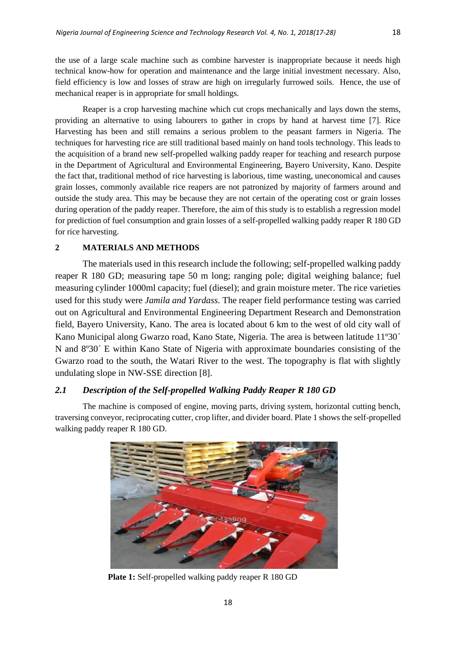the use of a large scale machine such as combine harvester is inappropriate because it needs high technical know-how for operation and maintenance and the large initial investment necessary. Also, field efficiency is low and losses of straw are high on irregularly furrowed soils. Hence, the use of mechanical reaper is in appropriate for small holdings.

Reaper is a crop harvesting machine which cut crops mechanically and lays down the stems, providing an alternative to using labourers to gather in crops by hand at harvest time [7]. Rice Harvesting has been and still remains a serious problem to the peasant farmers in Nigeria. The techniques for harvesting rice are still traditional based mainly on hand tools technology. This leads to the acquisition of a brand new self-propelled walking paddy reaper for teaching and research purpose in the Department of Agricultural and Environmental Engineering, Bayero University, Kano. Despite the fact that, traditional method of rice harvesting is laborious, time wasting, uneconomical and causes grain losses, commonly available rice reapers are not patronized by majority of farmers around and outside the study area. This may be because they are not certain of the operating cost or grain losses during operation of the paddy reaper. Therefore, the aim of this study is to establish a regression model for prediction of fuel consumption and grain losses of a self-propelled walking paddy reaper R 180 GD for rice harvesting.

## **2 MATERIALS AND METHODS**

The materials used in this research include the following; self-propelled walking paddy reaper R 180 GD; measuring tape 50 m long; ranging pole; digital weighing balance; fuel measuring cylinder 1000ml capacity; fuel (diesel); and grain moisture meter. The rice varieties used for this study were *Jamila and Yardass.* The reaper field performance testing was carried out on Agricultural and Environmental Engineering Department Research and Demonstration field, Bayero University, Kano. The area is located about 6 km to the west of old city wall of Kano Municipal along Gwarzo road, Kano State, Nigeria. The area is between latitude 11°30<sup> $\dot{\ }$ </sup> N and 8º30´ E within Kano State of Nigeria with approximate boundaries consisting of the Gwarzo road to the south, the Watari River to the west. The topography is flat with slightly undulating slope in NW-SSE direction [8].

# *2.1 Description of the Self-propelled Walking Paddy Reaper R 180 GD*

The machine is composed of engine, moving parts, driving system, horizontal cutting bench, traversing conveyor, reciprocating cutter, crop lifter, and divider board. Plate 1 shows the self-propelled walking paddy reaper R 180 GD.



**Plate 1:** Self-propelled walking paddy reaper R 180 GD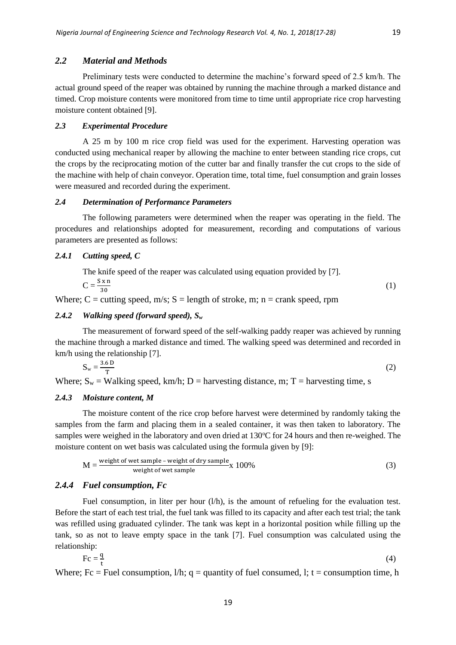## *2.2 Material and Methods*

Preliminary tests were conducted to determine the machine's forward speed of 2.5 km/h. The actual ground speed of the reaper was obtained by running the machine through a marked distance and timed. Crop moisture contents were monitored from time to time until appropriate rice crop harvesting moisture content obtained [9].

## *2.3 Experimental Procedure*

A 25 m by 100 m rice crop field was used for the experiment. Harvesting operation was conducted using mechanical reaper by allowing the machine to enter between standing rice crops, cut the crops by the reciprocating motion of the cutter bar and finally transfer the cut crops to the side of the machine with help of chain conveyor. Operation time, total time, fuel consumption and grain losses were measured and recorded during the experiment.

#### *2.4 Determination of Performance Parameters*

The following parameters were determined when the reaper was operating in the field. The procedures and relationships adopted for measurement, recording and computations of various parameters are presented as follows:

## *2.4.1 Cutting speed, C*

| The knife speed of the reaper was calculated using equation provided by [7]. |  |
|------------------------------------------------------------------------------|--|
| $C = \frac{S \times n}{n}$                                                   |  |
|                                                                              |  |

Where; C = cutting speed, m/s; S = length of stroke, m; n = crank speed, rpm

### *2.4.2 Walking speed (forward speed), S<sup>w</sup>*

The measurement of forward speed of the self-walking paddy reaper was achieved by running the machine through a marked distance and timed. The walking speed was determined and recorded in km/h using the relationship [7].

$$
S_w = \frac{3.6 \text{ D}}{T} \tag{2}
$$

Where;  $S_w =$  Walking speed, km/h; D = harvesting distance, m; T = harvesting time, s

#### *2.4.3 Moisture content, M*

The moisture content of the rice crop before harvest were determined by randomly taking the samples from the farm and placing them in a sealed container, it was then taken to laboratory. The samples were weighed in the laboratory and oven dried at  $130^{\circ}$ C for 24 hours and then re-weighed. The moisture content on wet basis was calculated using the formula given by [9]:

$$
M = \frac{\text{weight of wet sample - weight of dry sample}}{\text{weight of wet sample}} \times 100\%
$$
 (3)

#### *2.4.4 Fuel consumption, Fc*

Fuel consumption, in liter per hour (l/h), is the amount of refueling for the evaluation test. Before the start of each test trial, the fuel tank was filled to its capacity and after each test trial; the tank was refilled using graduated cylinder. The tank was kept in a horizontal position while filling up the tank, so as not to leave empty space in the tank [7]. Fuel consumption was calculated using the relationship:

$$
Fc = \frac{q}{t} \tag{4}
$$

Where; Fc = Fuel consumption,  $1/h$ ; q = quantity of fuel consumed, l; t = consumption time, h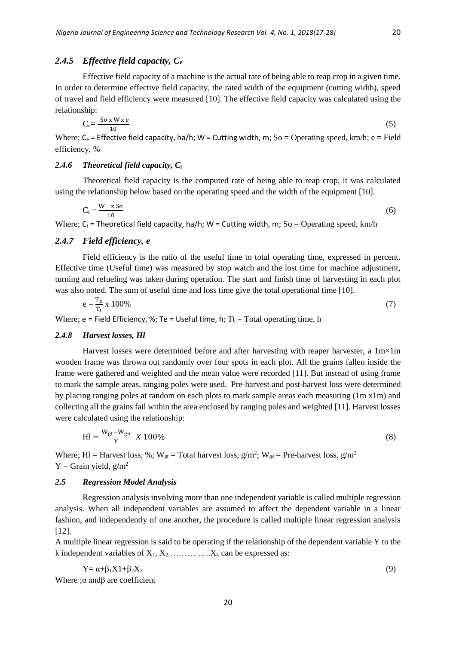## *2.4.5 Effective field capacity, C<sup>e</sup>*

Effective field capacity of a machine is the actual rate of being able to reap crop in a given time. In order to determine effective field capacity, the rated width of the equipment (cutting width), speed of travel and field efficiency were measured [10]. The effective field capacity was calculated using the relationship:

$$
C_e = \frac{So x W x e}{10} \tag{5}
$$

Where;  $C_e$  = Effective field capacity, ha/h; W = Cutting width, m; So = Operating speed, km/h; e = Field efficiency, %

## *2.4.6 Theoretical field capacity, C<sup>t</sup>*

Theoretical field capacity is the computed rate of being able to reap crop, it was calculated using the relationship below based on the operating speed and the width of the equipment [10].

$$
C_t = \frac{W \times so}{10} \tag{6}
$$

Where;  $C_t$  = Theoretical field capacity, ha/h; W = Cutting width, m; So = Operating speed, km/h

# *2.4.7 Field efficiency, e*

Field efficiency is the ratio of the useful time to total operating time, expressed in percent. Effective time (Useful time) was measured by stop watch and the lost time for machine adjustment, turning and refueling was taken during operation. The start and finish time of harvesting in each plot was also noted. The sum of useful time and loss time give the total operational time [10].

$$
e = \frac{T_e}{T_t} \times 100\% \tag{7}
$$

Where;  $e =$  Field Efficiency, %; Te = Useful time, h; Tt = Total operating time, h

#### *2.4.8 Harvest losses, Hl*

Harvest losses were determined before and after harvesting with reaper harvester, a  $1m\times1m$ wooden frame was thrown out randomly over four spots in each plot. All the grains fallen inside the frame were gathered and weighted and the mean value were recorded [11]. But instead of using frame to mark the sample areas, ranging poles were used. Pre-harvest and post-harvest loss were determined by placing ranging poles at random on each plots to mark sample areas each measuring (1m x1m) and collecting all the grains fail within the area enclosed by ranging poles and weighted [11]. Harvest losses were calculated using the relationship:

$$
Hl = \frac{W_{gt} - W_{go}}{Y} \, X \, 100\%
$$
\n(8)

Where; HI = Harvest loss, %;  $W_{gt}$  = Total harvest loss,  $g/m^2$ ;  $W_{gt}$  = Pre-harvest loss,  $g/m^2$  $Y =$ Grain yield,  $g/m^2$ 

#### *2.5 Regression Model Analysis*

Regression analysis involving more than one independent variable is called multiple regression analysis. When all independent variables are assumed to affect the dependent variable in a linear fashion, and independently of one another, the procedure is called multiple linear regression analysis [12].

A multiple linear regression is said to be operating if the relationship of the dependent variable Y to the k independent variables of  $X_1, X_2, \ldots, X_k$  can be expressed as:

$$
Y = \alpha + \beta_1 X 1 + \beta_2 X_2 \tag{9}
$$

Where ; $\alpha$  and $\beta$  are coefficient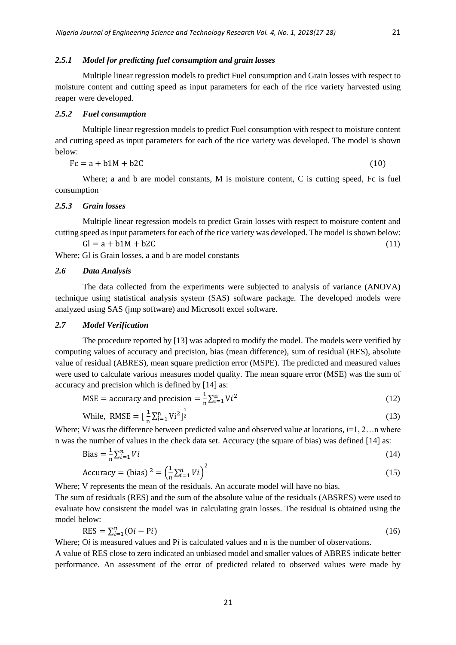#### *2.5.1 Model for predicting fuel consumption and grain losses*

Multiple linear regression models to predict Fuel consumption and Grain losses with respect to moisture content and cutting speed as input parameters for each of the rice variety harvested using reaper were developed.

#### *2.5.2 Fuel consumption*

Multiple linear regression models to predict Fuel consumption with respect to moisture content and cutting speed as input parameters for each of the rice variety was developed. The model is shown below:

$$
Fc = a + b1M + b2C \tag{10}
$$

Where; a and b are model constants, M is moisture content, C is cutting speed, Fc is fuel consumption

#### *2.5.3 Grain losses*

Multiple linear regression models to predict Grain losses with respect to moisture content and cutting speed as input parameters for each of the rice variety was developed. The model is shown below:

$$
Gl = a + b1M + b2C
$$
\n<sup>(11)</sup>

Where; Gl is Grain losses, a and b are model constants

#### *2.6 Data Analysis*

The data collected from the experiments were subjected to analysis of variance (ANOVA) technique using statistical analysis system (SAS) software package. The developed models were analyzed using SAS (jmp software) and Microsoft excel software.

## *2.7 Model Verification*

The procedure reported by [13] was adopted to modify the model. The models were verified by computing values of accuracy and precision, bias (mean difference), sum of residual (RES), absolute value of residual (ABRES), mean square prediction error (MSPE). The predicted and measured values were used to calculate various measures model quality. The mean square error (MSE) was the sum of accuracy and precision which is defined by [14] as:

$$
MSE = accuracy and precision = \frac{1}{n} \sum_{i=1}^{n} Vi^2
$$
 (12)

While, RMSE = 
$$
\left[\frac{1}{n}\sum_{i=1}^{n} Vi^2\right]^{\frac{1}{2}}
$$
 (13)

Where; V*i* was the difference between predicted value and observed value at locations,  $i=1, 2...$ n where n was the number of values in the check data set. Accuracy (the square of bias) was defined [14] as:

$$
\text{Bias} = \frac{1}{n} \sum_{i=1}^{n} V_i \tag{14}
$$

$$
\text{Accuracy} = (\text{bias})^2 = \left(\frac{1}{n}\sum_{i=1}^n Vi\right)^2\tag{15}
$$

Where; V represents the mean of the residuals. An accurate model will have no bias.

The sum of residuals (RES) and the sum of the absolute value of the residuals (ABSRES) were used to evaluate how consistent the model was in calculating grain losses. The residual is obtained using the model below:

$$
RES = \sum_{i=1}^{n} (0i - Pi) \tag{16}
$$

Where; O*i* is measured values and P*i* is calculated values and n is the number of observations.

A value of RES close to zero indicated an unbiased model and smaller values of ABRES indicate better performance. An assessment of the error of predicted related to observed values were made by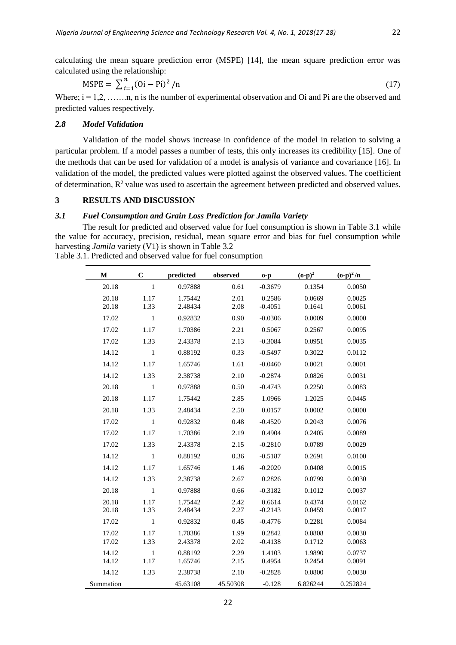calculating the mean square prediction error (MSPE) [14], the mean square prediction error was calculated using the relationship:

$$
MSPE = \sum_{i=1}^{n} (0i - Pi)^2 / n
$$
 (17)

Where;  $i = 1, 2, \ldots, n$ , n is the number of experimental observation and Oi and Pi are the observed and predicted values respectively.

## *2.8 Model Validation*

Validation of the model shows increase in confidence of the model in relation to solving a particular problem. If a model passes a number of tests, this only increases its credibility [15]. One of the methods that can be used for validation of a model is analysis of variance and covariance [16]. In validation of the model, the predicted values were plotted against the observed values. The coefficient of determination,  $\mathbb{R}^2$  value was used to ascertain the agreement between predicted and observed values.

# **3 RESULTS AND DISCUSSION**

# *3.1 Fuel Consumption and Grain Loss Prediction for Jamila Variety*

The result for predicted and observed value for fuel consumption is shown in Table 3.1 while the value for accuracy, precision, residual, mean square error and bias for fuel consumption while harvesting *Jamila* variety (V1) is shown in Table 3.2

| Table 3.1. Predicted and observed value for fuel consumption |  |
|--------------------------------------------------------------|--|
|--------------------------------------------------------------|--|

| M         | $\mathbf C$  | predicted | observed | $o-p$     | $(o-p)^2$ | $({\bf o}\text{-}{\bf p})^2/{\bf n}$ |
|-----------|--------------|-----------|----------|-----------|-----------|--------------------------------------|
| 20.18     | $\mathbf{1}$ | 0.97888   | 0.61     | $-0.3679$ | 0.1354    | 0.0050                               |
| 20.18     | 1.17         | 1.75442   | 2.01     | 0.2586    | 0.0669    | 0.0025                               |
| 20.18     | 1.33         | 2.48434   | 2.08     | $-0.4051$ | 0.1641    | 0.0061                               |
| 17.02     | $\mathbf{1}$ | 0.92832   | 0.90     | $-0.0306$ | 0.0009    | 0.0000                               |
| 17.02     | 1.17         | 1.70386   | 2.21     | 0.5067    | 0.2567    | 0.0095                               |
| 17.02     | 1.33         | 2.43378   | 2.13     | $-0.3084$ | 0.0951    | 0.0035                               |
| 14.12     | $\mathbf{1}$ | 0.88192   | 0.33     | $-0.5497$ | 0.3022    | 0.0112                               |
| 14.12     | 1.17         | 1.65746   | 1.61     | $-0.0460$ | 0.0021    | 0.0001                               |
| 14.12     | 1.33         | 2.38738   | 2.10     | $-0.2874$ | 0.0826    | 0.0031                               |
| 20.18     | $\mathbf{1}$ | 0.97888   | 0.50     | $-0.4743$ | 0.2250    | 0.0083                               |
| 20.18     | 1.17         | 1.75442   | 2.85     | 1.0966    | 1.2025    | 0.0445                               |
| 20.18     | 1.33         | 2.48434   | 2.50     | 0.0157    | 0.0002    | 0.0000                               |
| 17.02     | $\mathbf{1}$ | 0.92832   | 0.48     | $-0.4520$ | 0.2043    | 0.0076                               |
| 17.02     | 1.17         | 1.70386   | 2.19     | 0.4904    | 0.2405    | 0.0089                               |
| 17.02     | 1.33         | 2.43378   | 2.15     | $-0.2810$ | 0.0789    | 0.0029                               |
| 14.12     | $\mathbf{1}$ | 0.88192   | 0.36     | $-0.5187$ | 0.2691    | 0.0100                               |
| 14.12     | 1.17         | 1.65746   | 1.46     | $-0.2020$ | 0.0408    | 0.0015                               |
| 14.12     | 1.33         | 2.38738   | 2.67     | 0.2826    | 0.0799    | 0.0030                               |
| 20.18     | $\mathbf{1}$ | 0.97888   | 0.66     | $-0.3182$ | 0.1012    | 0.0037                               |
| 20.18     | 1.17         | 1.75442   | 2.42     | 0.6614    | 0.4374    | 0.0162                               |
| 20.18     | 1.33         | 2.48434   | 2.27     | $-0.2143$ | 0.0459    | 0.0017                               |
| 17.02     | $\mathbf{1}$ | 0.92832   | 0.45     | $-0.4776$ | 0.2281    | 0.0084                               |
| 17.02     | 1.17         | 1.70386   | 1.99     | 0.2842    | 0.0808    | 0.0030                               |
| 17.02     | 1.33         | 2.43378   | 2.02     | $-0.4138$ | 0.1712    | 0.0063                               |
| 14.12     | $\mathbf{1}$ | 0.88192   | 2.29     | 1.4103    | 1.9890    | 0.0737                               |
| 14.12     | 1.17         | 1.65746   | 2.15     | 0.4954    | 0.2454    | 0.0091                               |
| 14.12     | 1.33         | 2.38738   | 2.10     | $-0.2828$ | 0.0800    | 0.0030                               |
| Summation |              | 45.63108  | 45.50308 | $-0.128$  | 6.826244  | 0.252824                             |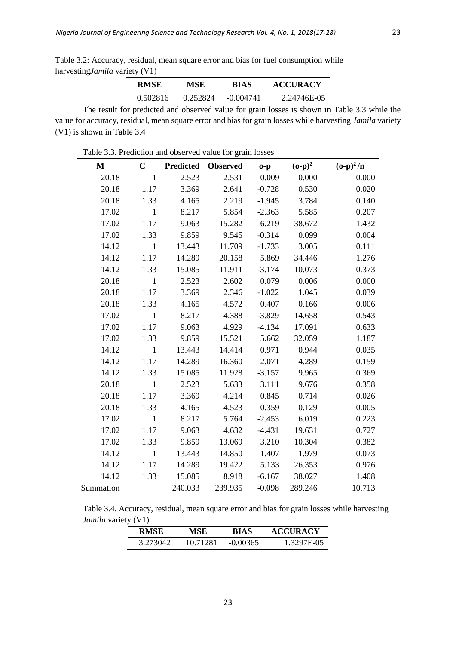Table 3.2: Accuracy, residual, mean square error and bias for fuel consumption while harvesting*Jamila* variety (V1)

| <b>RMSE</b> | MSE      | BIAS        | <b>ACCURACY</b> |
|-------------|----------|-------------|-----------------|
| 0.502816    | 0.252824 | $-0.004741$ | 2.24746E-05     |

The result for predicted and observed value for grain losses is shown in Table 3.3 while the value for accuracy, residual, mean square error and bias for grain losses while harvesting *Jamila* variety (V1) is shown in Table 3.4

**M C Predicted Observed o-p (o-p)<sup>2</sup>**  $({\bf o}\text{-}{\bf p})^2/{\bf n}$ 20.18 1 2.523 2.531 0.009 0.000 0.000 20.18 1.17 3.369 2.641 -0.728 0.530 0.020 20.18 1.33 4.165 2.219 -1.945 3.784 0.140 17.02 1 8.217 5.854 -2.363 5.585 0.207 17.02 1.17 9.063 15.282 6.219 38.672 1.432 17.02 1.33 9.859 9.545 -0.314 0.099 0.004 14.12 1 13.443 11.709 -1.733 3.005 0.111 14.12 1.17 14.289 20.158 5.869 34.446 1.276 14.12 1.33 15.085 11.911 -3.174 10.073 0.373 20.18 1 2.523 2.602 0.079 0.006 0.000 20.18 1.17 3.369 2.346 -1.022 1.045 0.039 20.18 1.33 4.165 4.572 0.407 0.166 0.006 17.02 1 8.217 4.388 -3.829 14.658 0.543 17.02 1.17 9.063 4.929 -4.134 17.091 0.633 17.02 1.33 9.859 15.521 5.662 32.059 1.187 14.12 1 13.443 14.414 0.971 0.944 0.035 14.12 1.17 14.289 16.360 2.071 4.289 0.159 14.12 1.33 15.085 11.928 -3.157 9.965 0.369 20.18 1 2.523 5.633 3.111 9.676 0.358 20.18 1.17 3.369 4.214 0.845 0.714 0.026 20.18 1.33 4.165 4.523 0.359 0.129 0.005 17.02 1 8.217 5.764 -2.453 6.019 0.223 17.02 1.17 9.063 4.632 -4.431 19.631 0.727 17.02 1.33 9.859 13.069 3.210 10.304 0.382 14.12 1 13.443 14.850 1.407 1.979 0.073 14.12 1.17 14.289 19.422 5.133 26.353 0.976 14.12 1.33 15.085 8.918 -6.167 38.027 1.408 Summation 240.033 239.935 -0.098 289.246 10.713

| Table 3.3. Prediction and observed value for grain losses |  |
|-----------------------------------------------------------|--|
|-----------------------------------------------------------|--|

| Table 3.4. Accuracy, residual, mean square error and bias for grain losses while harvesting |  |  |  |
|---------------------------------------------------------------------------------------------|--|--|--|
| <i>Jamila</i> variety (V1)                                                                  |  |  |  |

| RMSE     | MSE      | <b>BIAS</b> | <b>ACCURACY</b> |
|----------|----------|-------------|-----------------|
| 3.273042 | 10 71281 | $-0.00365$  | 1.3297E-05      |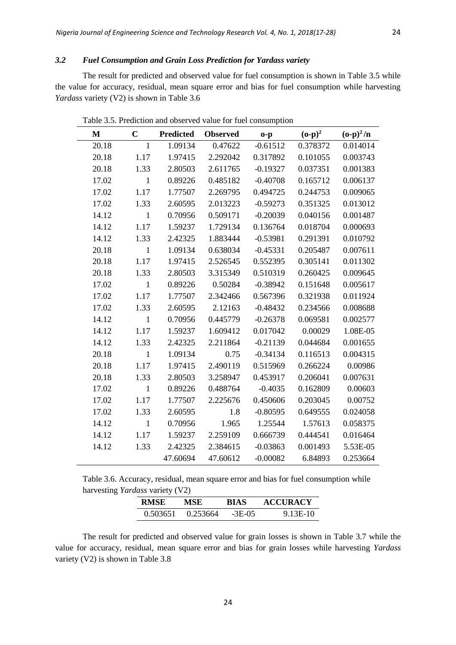## *3.2 Fuel Consumption and Grain Loss Prediction for Yardass variety*

The result for predicted and observed value for fuel consumption is shown in Table 3.5 while the value for accuracy, residual, mean square error and bias for fuel consumption while harvesting *Yardass* variety (V2) is shown in Table 3.6

| M     | $\mathbf C$  | <b>Predicted</b> | <b>Observed</b> | $o-p$      | $({\bf 0}\text{-}{\bf p})^2$ | $({\bf o}\text{-}{\bf p})^2/{\bf n}$ |
|-------|--------------|------------------|-----------------|------------|------------------------------|--------------------------------------|
| 20.18 | 1            | 1.09134          | 0.47622         | $-0.61512$ | 0.378372                     | 0.014014                             |
| 20.18 | 1.17         | 1.97415          | 2.292042        | 0.317892   | 0.101055                     | 0.003743                             |
| 20.18 | 1.33         | 2.80503          | 2.611765        | $-0.19327$ | 0.037351                     | 0.001383                             |
| 17.02 | $\mathbf{1}$ | 0.89226          | 0.485182        | $-0.40708$ | 0.165712                     | 0.006137                             |
| 17.02 | 1.17         | 1.77507          | 2.269795        | 0.494725   | 0.244753                     | 0.009065                             |
| 17.02 | 1.33         | 2.60595          | 2.013223        | $-0.59273$ | 0.351325                     | 0.013012                             |
| 14.12 | $\mathbf{1}$ | 0.70956          | 0.509171        | $-0.20039$ | 0.040156                     | 0.001487                             |
| 14.12 | 1.17         | 1.59237          | 1.729134        | 0.136764   | 0.018704                     | 0.000693                             |
| 14.12 | 1.33         | 2.42325          | 1.883444        | $-0.53981$ | 0.291391                     | 0.010792                             |
| 20.18 | $\mathbf{1}$ | 1.09134          | 0.638034        | $-0.45331$ | 0.205487                     | 0.007611                             |
| 20.18 | 1.17         | 1.97415          | 2.526545        | 0.552395   | 0.305141                     | 0.011302                             |
| 20.18 | 1.33         | 2.80503          | 3.315349        | 0.510319   | 0.260425                     | 0.009645                             |
| 17.02 | $\mathbf{1}$ | 0.89226          | 0.50284         | $-0.38942$ | 0.151648                     | 0.005617                             |
| 17.02 | 1.17         | 1.77507          | 2.342466        | 0.567396   | 0.321938                     | 0.011924                             |
| 17.02 | 1.33         | 2.60595          | 2.12163         | $-0.48432$ | 0.234566                     | 0.008688                             |
| 14.12 | $\mathbf{1}$ | 0.70956          | 0.445779        | $-0.26378$ | 0.069581                     | 0.002577                             |
| 14.12 | 1.17         | 1.59237          | 1.609412        | 0.017042   | 0.00029                      | 1.08E-05                             |
| 14.12 | 1.33         | 2.42325          | 2.211864        | $-0.21139$ | 0.044684                     | 0.001655                             |
| 20.18 | $\mathbf{1}$ | 1.09134          | 0.75            | $-0.34134$ | 0.116513                     | 0.004315                             |
| 20.18 | 1.17         | 1.97415          | 2.490119        | 0.515969   | 0.266224                     | 0.00986                              |
| 20.18 | 1.33         | 2.80503          | 3.258947        | 0.453917   | 0.206041                     | 0.007631                             |
| 17.02 | $\mathbf{1}$ | 0.89226          | 0.488764        | $-0.4035$  | 0.162809                     | 0.00603                              |
| 17.02 | 1.17         | 1.77507          | 2.225676        | 0.450606   | 0.203045                     | 0.00752                              |
| 17.02 | 1.33         | 2.60595          | 1.8             | $-0.80595$ | 0.649555                     | 0.024058                             |
| 14.12 | $\mathbf{1}$ | 0.70956          | 1.965           | 1.25544    | 1.57613                      | 0.058375                             |
| 14.12 | 1.17         | 1.59237          | 2.259109        | 0.666739   | 0.444541                     | 0.016464                             |
| 14.12 | 1.33         | 2.42325          | 2.384615        | $-0.03863$ | 0.001493                     | 5.53E-05                             |
|       |              | 47.60694         | 47.60612        | $-0.00082$ | 6.84893                      | 0.253664                             |

Table 3.5. Prediction and observed value for fuel consumption

Table 3.6. Accuracy, residual, mean square error and bias for fuel consumption while harvesting *Yardass* variety (V2)

| <b>RMSE</b> | MSE.     | <b>BIAS</b> | <b>ACCURACY</b> |
|-------------|----------|-------------|-----------------|
| 0.503651    | 0.253664 | $-3E-05$    | 9.13E-10        |

The result for predicted and observed value for grain losses is shown in Table 3.7 while the value for accuracy, residual, mean square error and bias for grain losses while harvesting *Yardass* variety (V2) is shown in Table 3.8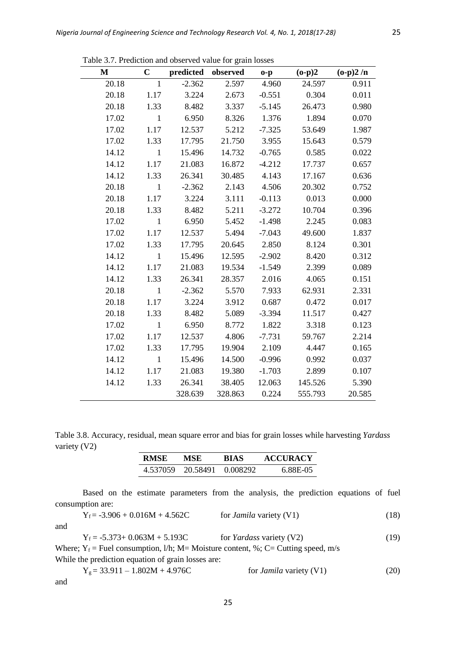| M     | $\mathbf C$  | predicted observed |         | $o-p$    | $(o-p)2$ | $(o-p)2/n$ |
|-------|--------------|--------------------|---------|----------|----------|------------|
| 20.18 | $\mathbf{1}$ | $-2.362$           | 2.597   | 4.960    | 24.597   | 0.911      |
| 20.18 | 1.17         | 3.224              | 2.673   | $-0.551$ | 0.304    | 0.011      |
| 20.18 | 1.33         | 8.482              | 3.337   | $-5.145$ | 26.473   | 0.980      |
| 17.02 | $\mathbf{1}$ | 6.950              | 8.326   | 1.376    | 1.894    | 0.070      |
| 17.02 | 1.17         | 12.537             | 5.212   | $-7.325$ | 53.649   | 1.987      |
| 17.02 | 1.33         | 17.795             | 21.750  | 3.955    | 15.643   | 0.579      |
| 14.12 | $\mathbf{1}$ | 15.496             | 14.732  | $-0.765$ | 0.585    | 0.022      |
| 14.12 | 1.17         | 21.083             | 16.872  | $-4.212$ | 17.737   | 0.657      |
| 14.12 | 1.33         | 26.341             | 30.485  | 4.143    | 17.167   | 0.636      |
| 20.18 | $\mathbf{1}$ | $-2.362$           | 2.143   | 4.506    | 20.302   | 0.752      |
| 20.18 | 1.17         | 3.224              | 3.111   | $-0.113$ | 0.013    | 0.000      |
| 20.18 | 1.33         | 8.482              | 5.211   | $-3.272$ | 10.704   | 0.396      |
| 17.02 | $\mathbf{1}$ | 6.950              | 5.452   | $-1.498$ | 2.245    | 0.083      |
| 17.02 | 1.17         | 12.537             | 5.494   | $-7.043$ | 49.600   | 1.837      |
| 17.02 | 1.33         | 17.795             | 20.645  | 2.850    | 8.124    | 0.301      |
| 14.12 | $\mathbf{1}$ | 15.496             | 12.595  | $-2.902$ | 8.420    | 0.312      |
| 14.12 | 1.17         | 21.083             | 19.534  | $-1.549$ | 2.399    | 0.089      |
| 14.12 | 1.33         | 26.341             | 28.357  | 2.016    | 4.065    | 0.151      |
| 20.18 | $\mathbf{1}$ | $-2.362$           | 5.570   | 7.933    | 62.931   | 2.331      |
| 20.18 | 1.17         | 3.224              | 3.912   | 0.687    | 0.472    | 0.017      |
| 20.18 | 1.33         | 8.482              | 5.089   | $-3.394$ | 11.517   | 0.427      |
| 17.02 | $\mathbf{1}$ | 6.950              | 8.772   | 1.822    | 3.318    | 0.123      |
| 17.02 | 1.17         | 12.537             | 4.806   | $-7.731$ | 59.767   | 2.214      |
| 17.02 | 1.33         | 17.795             | 19.904  | 2.109    | 4.447    | 0.165      |
| 14.12 | $\mathbf{1}$ | 15.496             | 14.500  | $-0.996$ | 0.992    | 0.037      |
| 14.12 | 1.17         | 21.083             | 19.380  | $-1.703$ | 2.899    | 0.107      |
| 14.12 | 1.33         | 26.341             | 38.405  | 12.063   | 145.526  | 5.390      |
|       |              | 328.639            | 328.863 | 0.224    | 555.793  | 20.585     |

Table 3.7. Prediction and observed value for grain losses

Table 3.8. Accuracy, residual, mean square error and bias for grain losses while harvesting *Yardass* variety (V2)

| <b>RMSE</b> | MSE                        | BIAS | <b>ACCURACY</b> |
|-------------|----------------------------|------|-----------------|
|             | 4.537059 20.58491 0.008292 |      | 6.88E-05        |

Based on the estimate parameters from the analysis, the prediction equations of fuel consumption are:

| for <i>Jamila</i> variety (V1) | (18) |
|--------------------------------|------|
|                                |      |

and

 $Y_f = -5.373 + 0.063M + 5.193C$  for *Yardass* variety (V2) (19)

Where;  $Y_f$  = Fuel consumption, l/h; M= Moisture content, %; C= Cutting speed, m/s While the prediction equation of grain losses are:

$$
Y_g = 33.911 - 1.802M + 4.976C
$$
 for *Jamila* variety (V1) (20)

and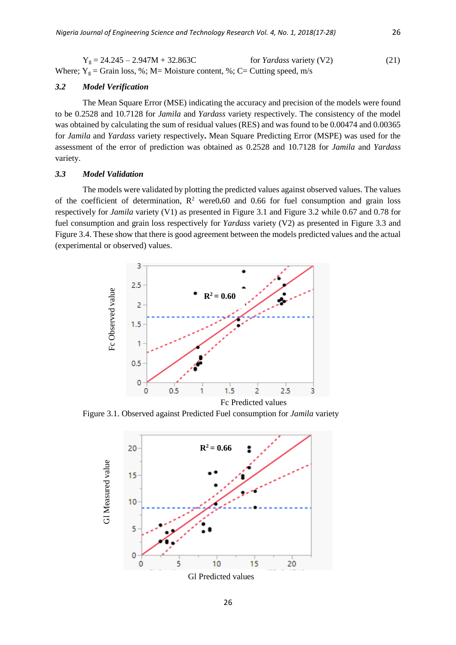$Y_g = 24.245 - 2.947M + 32.863C$  for *Yardass* variety (V2) (21) Where;  $Y_g$  = Grain loss, %; M= Moisture content, %; C= Cutting speed, m/s

#### *3.2 Model Verification*

The Mean Square Error (MSE) indicating the accuracy and precision of the models were found to be 0.2528 and 10.7128 for *Jamila* and *Yardass* variety respectively. The consistency of the model was obtained by calculating the sum of residual values (RES) and was found to be 0.00474 and 0.00365 for *Jamila* and *Yardass* variety respectively**.** Mean Square Predicting Error (MSPE) was used for the assessment of the error of prediction was obtained as 0.2528 and 10.7128 for *Jamila* and *Yardass* variety.

### *3.3 Model Validation*

The models were validated by plotting the predicted values against observed values. The values of the coefficient of determination,  $R^2$  were 0.60 and 0.66 for fuel consumption and grain loss respectively for *Jamila* variety (V1) as presented in Figure 3.1 and Figure 3.2 while 0.67 and 0.78 for fuel consumption and grain loss respectively for *Yardass* variety (V2) as presented in Figure 3.3 and Figure 3.4. These show that there is good agreement between the models predicted values and the actual (experimental or observed) values.



Figure 3.1. Observed against Predicted Fuel consumption for *Jamila* variety

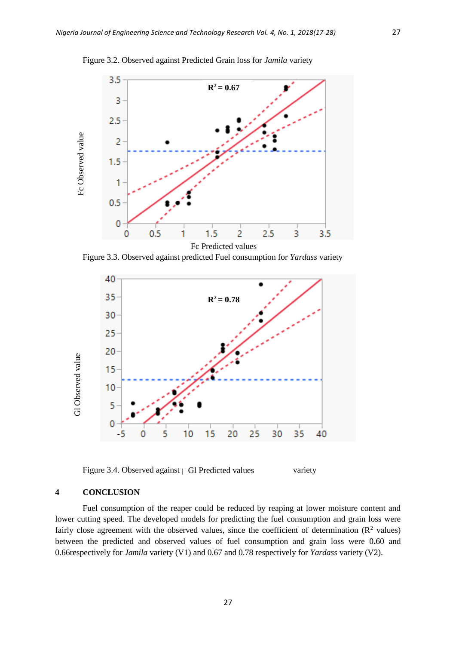

Figure 3.2. Observed against Predicted Grain loss for *Jamila* variety

Figure 3.3. Observed against predicted Fuel consumption for *Yardass* variety



Figure 3.4. Observed against **predicted values** variety

## **4 CONCLUSION**

Fuel consumption of the reaper could be reduced by reaping at lower moisture content and lower cutting speed. The developed models for predicting the fuel consumption and grain loss were fairly close agreement with the observed values, since the coefficient of determination  $(R^2 \text{ values})$ between the predicted and observed values of fuel consumption and grain loss were 0**.**60 and